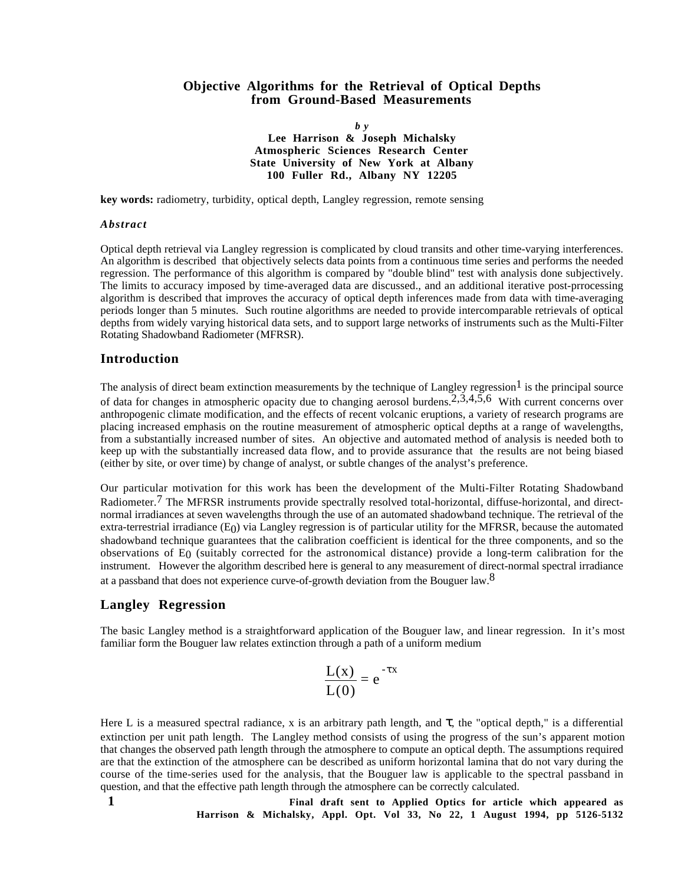#### **Objective Algorithms for the Retrieval of Optical Depths from Ground-Based Measurements**

*b y* **Lee Harrison & Joseph Michalsky Atmospheric Sciences Research Center State University of New York at Albany 100 Fuller Rd., Albany NY 12205**

**key words:** radiometry, turbidity, optical depth, Langley regression, remote sensing

#### *Abstract*

Optical depth retrieval via Langley regression is complicated by cloud transits and other time-varying interferences. An algorithm is described that objectively selects data points from a continuous time series and performs the needed regression. The performance of this algorithm is compared by "double blind" test with analysis done subjectively. The limits to accuracy imposed by time-averaged data are discussed., and an additional iterative post-prrocessing algorithm is described that improves the accuracy of optical depth inferences made from data with time-averaging periods longer than 5 minutes. Such routine algorithms are needed to provide intercomparable retrievals of optical depths from widely varying historical data sets, and to support large networks of instruments such as the Multi-Filter Rotating Shadowband Radiometer (MFRSR).

#### **Introduction**

The analysis of direct beam extinction measurements by the technique of Langley regression<sup>1</sup> is the principal source of data for changes in atmospheric opacity due to changing aerosol burdens.<sup>2,3,4,5,6</sup> With current concerns over anthropogenic climate modification, and the effects of recent volcanic eruptions, a variety of research programs are placing increased emphasis on the routine measurement of atmospheric optical depths at a range of wavelengths, from a substantially increased number of sites. An objective and automated method of analysis is needed both to keep up with the substantially increased data flow, and to provide assurance that the results are not being biased (either by site, or over time) by change of analyst, or subtle changes of the analyst's preference.

Our particular motivation for this work has been the development of the Multi-Filter Rotating Shadowband Radiometer.<sup>7</sup> The MFRSR instruments provide spectrally resolved total-horizontal, diffuse-horizontal, and directnormal irradiances at seven wavelengths through the use of an automated shadowband technique. The retrieval of the extra-terrestrial irradiance  $(E_0)$  via Langley regression is of particular utility for the MFRSR, because the automated shadowband technique guarantees that the calibration coefficient is identical for the three components, and so the observations of E0 (suitably corrected for the astronomical distance) provide a long-term calibration for the instrument. However the algorithm described here is general to any measurement of direct-normal spectral irradiance at a passband that does not experience curve-of-growth deviation from the Bouguer law.<sup>8</sup>

## **Langley Regression**

The basic Langley method is a straightforward application of the Bouguer law, and linear regression. In it's most familiar form the Bouguer law relates extinction through a path of a uniform medium

$$
\frac{L(x)}{L(0)} = e^{-\tau x}
$$

Here L is a measured spectral radiance, x is an arbitrary path length, and  $\tau$ , the "optical depth," is a differential extinction per unit path length. The Langley method consists of using the progress of the sun's apparent motion that changes the observed path length through the atmosphere to compute an optical depth. The assumptions required are that the extinction of the atmosphere can be described as uniform horizontal lamina that do not vary during the course of the time-series used for the analysis, that the Bouguer law is applicable to the spectral passband in question, and that the effective path length through the atmosphere can be correctly calculated.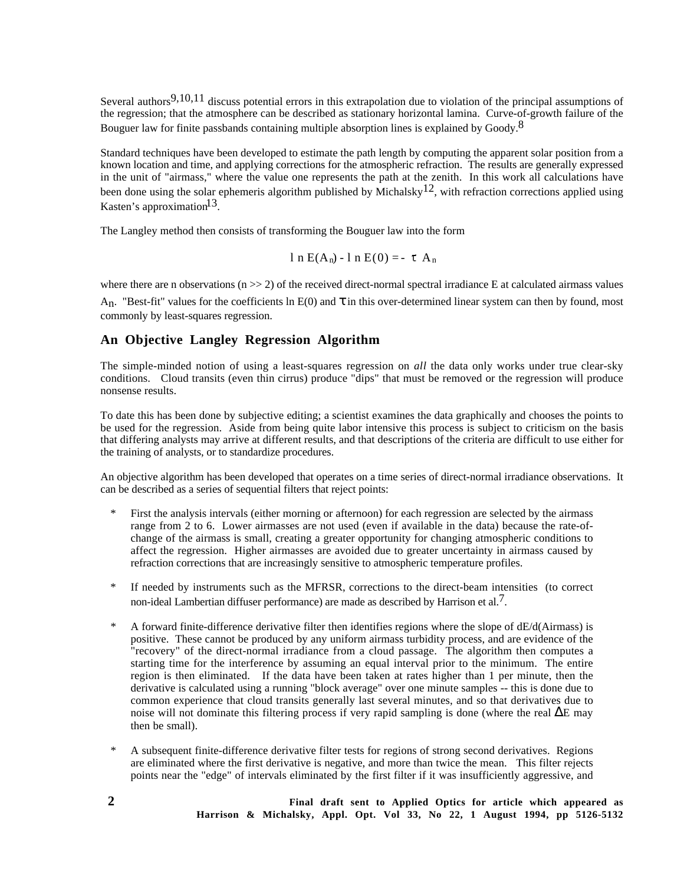Several authors<sup>9,10,11</sup> discuss potential errors in this extrapolation due to violation of the principal assumptions of the regression; that the atmosphere can be described as stationary horizontal lamina. Curve-of-growth failure of the Bouguer law for finite passbands containing multiple absorption lines is explained by Goody.<sup>8</sup>

Standard techniques have been developed to estimate the path length by computing the apparent solar position from a known location and time, and applying corrections for the atmospheric refraction. The results are generally expressed in the unit of "airmass," where the value one represents the path at the zenith. In this work all calculations have been done using the solar ephemeris algorithm published by Michalsky<sup>12</sup>, with refraction corrections applied using Kasten's approximation<sup>13</sup>.

The Langley method then consists of transforming the Bouguer law into the form

$$
1 n E(A_n) - 1 n E(0) = - \tau A_n
$$

where there are n observations  $(n \gg 2)$  of the received direct-normal spectral irradiance E at calculated airmass values

 $A_n$ . "Best-fit" values for the coefficients ln E(0) and  $\tau$  in this over-determined linear system can then by found, most commonly by least-squares regression.

# **An Objective Langley Regression Algorithm**

The simple-minded notion of using a least-squares regression on *all* the data only works under true clear-sky conditions. Cloud transits (even thin cirrus) produce "dips" that must be removed or the regression will produce nonsense results.

To date this has been done by subjective editing; a scientist examines the data graphically and chooses the points to be used for the regression. Aside from being quite labor intensive this process is subject to criticism on the basis that differing analysts may arrive at different results, and that descriptions of the criteria are difficult to use either for the training of analysts, or to standardize procedures.

An objective algorithm has been developed that operates on a time series of direct-normal irradiance observations. It can be described as a series of sequential filters that reject points:

- First the analysis intervals (either morning or afternoon) for each regression are selected by the airmass range from 2 to 6. Lower airmasses are not used (even if available in the data) because the rate-ofchange of the airmass is small, creating a greater opportunity for changing atmospheric conditions to affect the regression. Higher airmasses are avoided due to greater uncertainty in airmass caused by refraction corrections that are increasingly sensitive to atmospheric temperature profiles.
- If needed by instruments such as the MFRSR, corrections to the direct-beam intensities (to correct non-ideal Lambertian diffuser performance) are made as described by Harrison et al.<sup>7</sup>.
- A forward finite-difference derivative filter then identifies regions where the slope of dE/d(Airmass) is positive. These cannot be produced by any uniform airmass turbidity process, and are evidence of the "recovery" of the direct-normal irradiance from a cloud passage. The algorithm then computes a starting time for the interference by assuming an equal interval prior to the minimum. The entire region is then eliminated. If the data have been taken at rates higher than 1 per minute, then the derivative is calculated using a running "block average" over one minute samples -- this is done due to common experience that cloud transits generally last several minutes, and so that derivatives due to noise will not dominate this filtering process if very rapid sampling is done (where the real ∆E may then be small).
- A subsequent finite-difference derivative filter tests for regions of strong second derivatives. Regions are eliminated where the first derivative is negative, and more than twice the mean. This filter rejects points near the "edge" of intervals eliminated by the first filter if it was insufficiently aggressive, and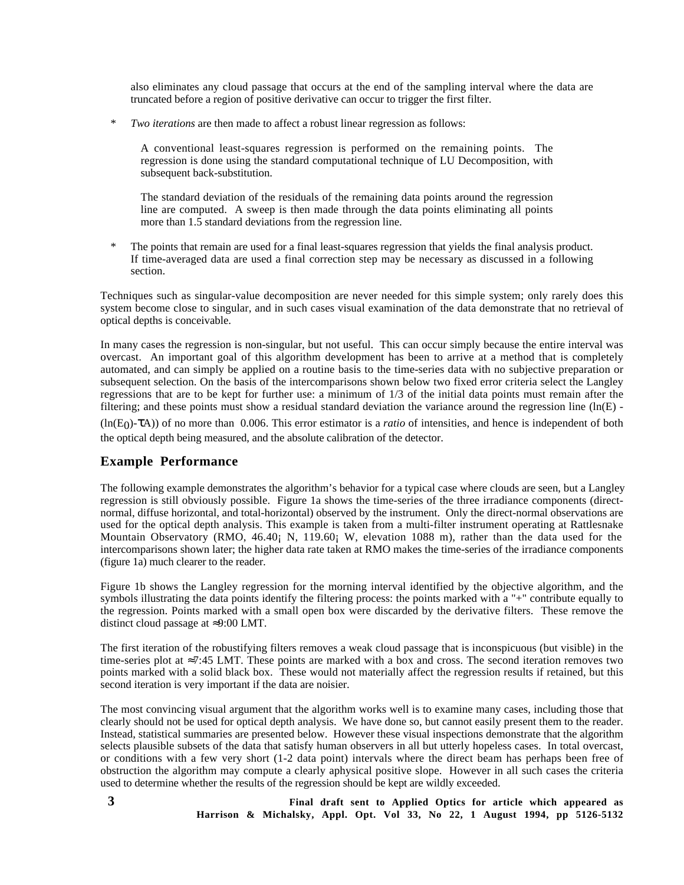also eliminates any cloud passage that occurs at the end of the sampling interval where the data are truncated before a region of positive derivative can occur to trigger the first filter.

\* *Two iterations* are then made to affect a robust linear regression as follows:

A conventional least-squares regression is performed on the remaining points. The regression is done using the standard computational technique of LU Decomposition, with subsequent back-substitution.

The standard deviation of the residuals of the remaining data points around the regression line are computed. A sweep is then made through the data points eliminating all points more than 1.5 standard deviations from the regression line.

\* The points that remain are used for a final least-squares regression that yields the final analysis product. If time-averaged data are used a final correction step may be necessary as discussed in a following section.

Techniques such as singular-value decomposition are never needed for this simple system; only rarely does this system become close to singular, and in such cases visual examination of the data demonstrate that no retrieval of optical depths is conceivable.

In many cases the regression is non-singular, but not useful. This can occur simply because the entire interval was overcast. An important goal of this algorithm development has been to arrive at a method that is completely automated, and can simply be applied on a routine basis to the time-series data with no subjective preparation or subsequent selection. On the basis of the intercomparisons shown below two fixed error criteria select the Langley regressions that are to be kept for further use: a minimum of 1/3 of the initial data points must remain after the filtering; and these points must show a residual standard deviation the variance around the regression line  $(ln(E) -$ 

(ln(E0)-τA)) of no more than 0.006. This error estimator is a *ratio* of intensities, and hence is independent of both the optical depth being measured, and the absolute calibration of the detector.

## **Example Performance**

The following example demonstrates the algorithm's behavior for a typical case where clouds are seen, but a Langley regression is still obviously possible. Figure 1a shows the time-series of the three irradiance components (directnormal, diffuse horizontal, and total-horizontal) observed by the instrument. Only the direct-normal observations are used for the optical depth analysis. This example is taken from a multi-filter instrument operating at Rattlesnake Mountain Observatory (RMO, 46.40¡ N, 119.60¡ W, elevation 1088 m), rather than the data used for the intercomparisons shown later; the higher data rate taken at RMO makes the time-series of the irradiance components (figure 1a) much clearer to the reader.

Figure 1b shows the Langley regression for the morning interval identified by the objective algorithm, and the symbols illustrating the data points identify the filtering process: the points marked with a "+" contribute equally to the regression. Points marked with a small open box were discarded by the derivative filters. These remove the distinct cloud passage at ≈9:00 LMT.

The first iteration of the robustifying filters removes a weak cloud passage that is inconspicuous (but visible) in the time-series plot at ≈7:45 LMT. These points are marked with a box and cross. The second iteration removes two points marked with a solid black box. These would not materially affect the regression results if retained, but this second iteration is very important if the data are noisier.

The most convincing visual argument that the algorithm works well is to examine many cases, including those that clearly should not be used for optical depth analysis. We have done so, but cannot easily present them to the reader. Instead, statistical summaries are presented below. However these visual inspections demonstrate that the algorithm selects plausible subsets of the data that satisfy human observers in all but utterly hopeless cases. In total overcast, or conditions with a few very short (1-2 data point) intervals where the direct beam has perhaps been free of obstruction the algorithm may compute a clearly aphysical positive slope. However in all such cases the criteria used to determine whether the results of the regression should be kept are wildly exceeded.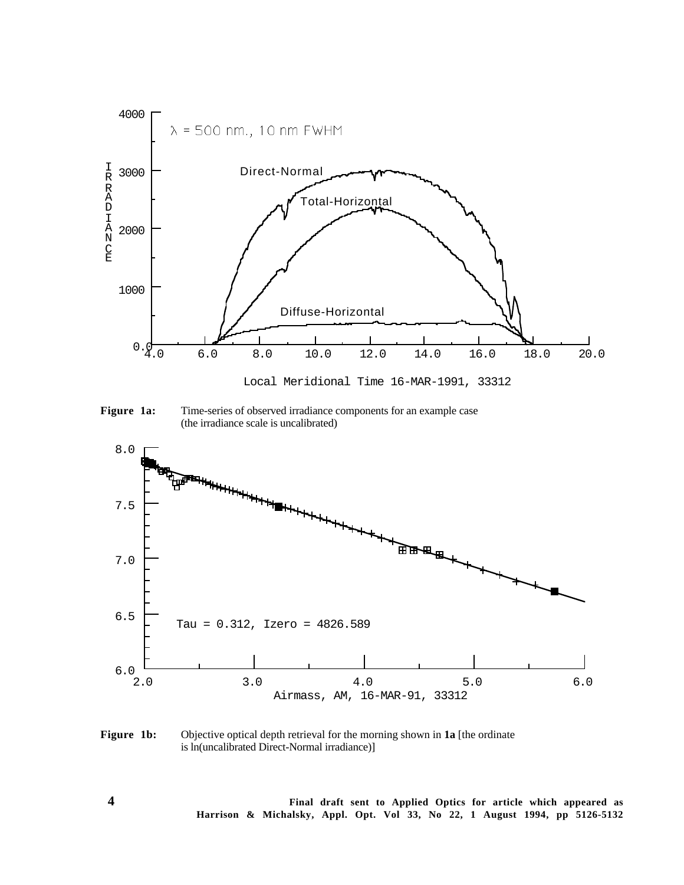

**Figure 1a:** Time-series of observed irradiance components for an example case (the irradiance scale is uncalibrated)



**Figure 1b:** Objective optical depth retrieval for the morning shown in **1a** [the ordinate is ln(uncalibrated Direct-Normal irradiance)]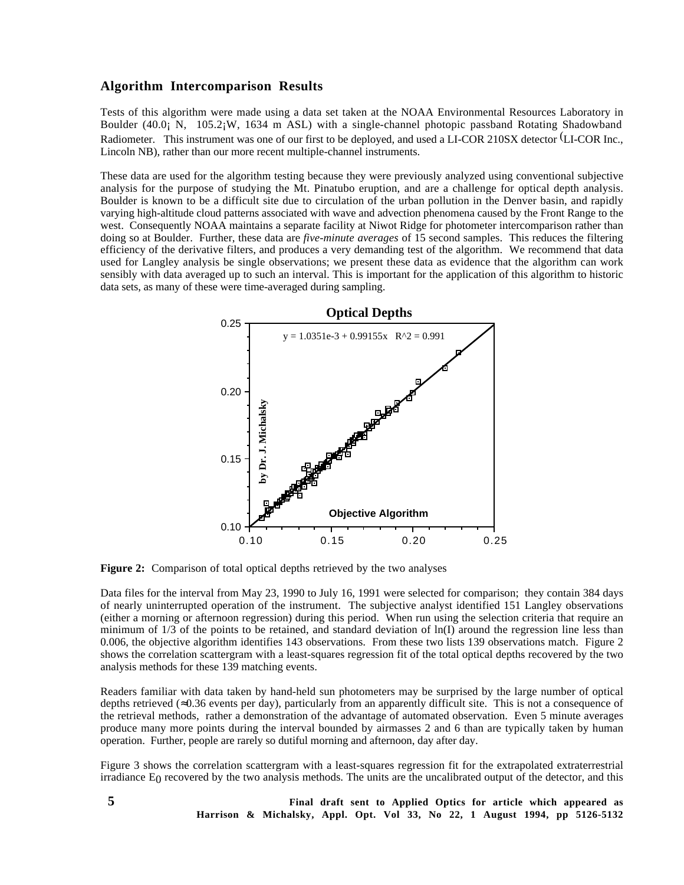## **Algorithm Intercomparison Results**

Tests of this algorithm were made using a data set taken at the NOAA Environmental Resources Laboratory in Boulder (40.0¡ N, 105.2¡W, 1634 m ASL) with a single-channel photopic passband Rotating Shadowband Radiometer. This instrument was one of our first to be deployed, and used a LI-COR 210SX detector (LI-COR Inc., Lincoln NB), rather than our more recent multiple-channel instruments.

These data are used for the algorithm testing because they were previously analyzed using conventional subjective analysis for the purpose of studying the Mt. Pinatubo eruption, and are a challenge for optical depth analysis. Boulder is known to be a difficult site due to circulation of the urban pollution in the Denver basin, and rapidly varying high-altitude cloud patterns associated with wave and advection phenomena caused by the Front Range to the west. Consequently NOAA maintains a separate facility at Niwot Ridge for photometer intercomparison rather than doing so at Boulder. Further, these data are *five-minute averages* of 15 second samples. This reduces the filtering efficiency of the derivative filters, and produces a very demanding test of the algorithm. We recommend that data used for Langley analysis be single observations; we present these data as evidence that the algorithm can work sensibly with data averaged up to such an interval. This is important for the application of this algorithm to historic data sets, as many of these were time-averaged during sampling.



**Figure 2:** Comparison of total optical depths retrieved by the two analyses

Data files for the interval from May 23, 1990 to July 16, 1991 were selected for comparison; they contain 384 days of nearly uninterrupted operation of the instrument. The subjective analyst identified 151 Langley observations (either a morning or afternoon regression) during this period. When run using the selection criteria that require an minimum of  $1/3$  of the points to be retained, and standard deviation of  $\ln(I)$  around the regression line less than 0.006, the objective algorithm identifies 143 observations. From these two lists 139 observations match. Figure 2 shows the correlation scattergram with a least-squares regression fit of the total optical depths recovered by the two analysis methods for these 139 matching events.

Readers familiar with data taken by hand-held sun photometers may be surprised by the large number of optical depths retrieved (≈0.36 events per day), particularly from an apparently difficult site. This is not a consequence of the retrieval methods, rather a demonstration of the advantage of automated observation. Even 5 minute averages produce many more points during the interval bounded by airmasses 2 and 6 than are typically taken by human operation. Further, people are rarely so dutiful morning and afternoon, day after day.

Figure 3 shows the correlation scattergram with a least-squares regression fit for the extrapolated extraterrestrial irradiance  $E_0$  recovered by the two analysis methods. The units are the uncalibrated output of the detector, and this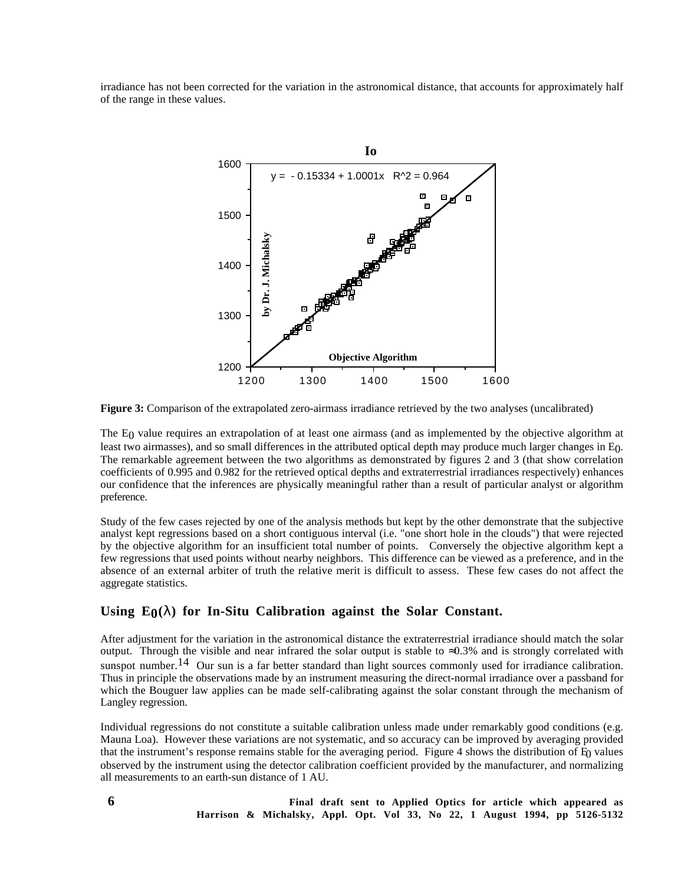irradiance has not been corrected for the variation in the astronomical distance, that accounts for approximately half of the range in these values.



**Figure 3:** Comparison of the extrapolated zero-airmass irradiance retrieved by the two analyses (uncalibrated)

The E<sub>0</sub> value requires an extrapolation of at least one airmass (and as implemented by the objective algorithm at least two airmasses), and so small differences in the attributed optical depth may produce much larger changes in E0. The remarkable agreement between the two algorithms as demonstrated by figures 2 and 3 (that show correlation coefficients of 0.995 and 0.982 for the retrieved optical depths and extraterrestrial irradiances respectively) enhances our confidence that the inferences are physically meaningful rather than a result of particular analyst or algorithm preference.

Study of the few cases rejected by one of the analysis methods but kept by the other demonstrate that the subjective analyst kept regressions based on a short contiguous interval (i.e. "one short hole in the clouds") that were rejected by the objective algorithm for an insufficient total number of points. Conversely the objective algorithm kept a few regressions that used points without nearby neighbors. This difference can be viewed as a preference, and in the absence of an external arbiter of truth the relative merit is difficult to assess. These few cases do not affect the aggregate statistics.

## Using  $E_0(\lambda)$  for In-Situ Calibration against the Solar Constant.

After adjustment for the variation in the astronomical distance the extraterrestrial irradiance should match the solar output. Through the visible and near infrared the solar output is stable to  $\approx 0.3\%$  and is strongly correlated with sunspot number.<sup>14</sup> Our sun is a far better standard than light sources commonly used for irradiance calibration. Thus in principle the observations made by an instrument measuring the direct-normal irradiance over a passband for which the Bouguer law applies can be made self-calibrating against the solar constant through the mechanism of Langley regression.

Individual regressions do not constitute a suitable calibration unless made under remarkably good conditions (e.g. Mauna Loa). However these variations are not systematic, and so accuracy can be improved by averaging provided that the instrument's response remains stable for the averaging period. Figure 4 shows the distribution of  $E<sub>0</sub>$  values observed by the instrument using the detector calibration coefficient provided by the manufacturer, and normalizing all measurements to an earth-sun distance of 1 AU.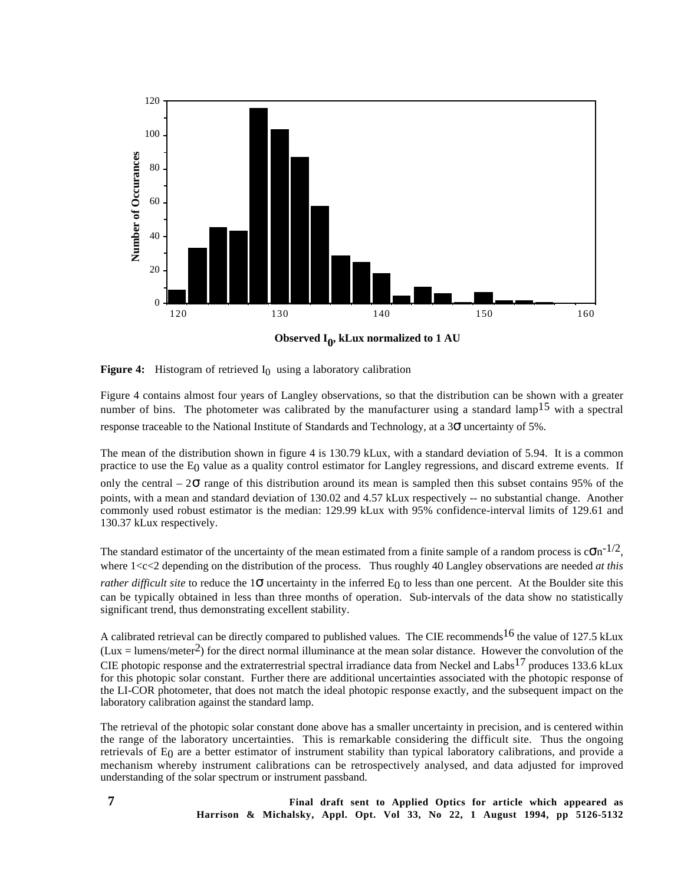

**Figure 4:** Histogram of retrieved  $I_0$  using a laboratory calibration

Figure 4 contains almost four years of Langley observations, so that the distribution can be shown with a greater number of bins. The photometer was calibrated by the manufacturer using a standard lamp<sup>15</sup> with a spectral response traceable to the National Institute of Standards and Technology, at a 3σ uncertainty of 5%.

The mean of the distribution shown in figure 4 is 130.79 kLux, with a standard deviation of 5.94. It is a common practice to use the E0 value as a quality control estimator for Langley regressions, and discard extreme events. If

only the central –  $2\sigma$  range of this distribution around its mean is sampled then this subset contains 95% of the points, with a mean and standard deviation of 130.02 and 4.57 kLux respectively -- no substantial change. Another commonly used robust estimator is the median: 129.99 kLux with 95% confidence-interval limits of 129.61 and 130.37 kLux respectively.

The standard estimator of the uncertainty of the mean estimated from a finite sample of a random process is  $c\sigma n^{-1/2}$ , where 1<c<2 depending on the distribution of the process. Thus roughly 40 Langley observations are needed *at this rather difficult site* to reduce the  $1\sigma$  uncertainty in the inferred E<sub>0</sub> to less than one percent. At the Boulder site this can be typically obtained in less than three months of operation. Sub-intervals of the data show no statistically significant trend, thus demonstrating excellent stability.

A calibrated retrieval can be directly compared to published values. The CIE recommends  $^{16}$  the value of 127.5 kLux (Lux = lumens/meter<sup>2</sup>) for the direct normal illuminance at the mean solar distance. However the convolution of the CIE photopic response and the extraterrestrial spectral irradiance data from Neckel and Labs17 produces 133.6 kLux for this photopic solar constant. Further there are additional uncertainties associated with the photopic response of the LI-COR photometer, that does not match the ideal photopic response exactly, and the subsequent impact on the laboratory calibration against the standard lamp.

The retrieval of the photopic solar constant done above has a smaller uncertainty in precision, and is centered within the range of the laboratory uncertainties. This is remarkable considering the difficult site. Thus the ongoing retrievals of  $E_0$  are a better estimator of instrument stability than typical laboratory calibrations, and provide a mechanism whereby instrument calibrations can be retrospectively analysed, and data adjusted for improved understanding of the solar spectrum or instrument passband.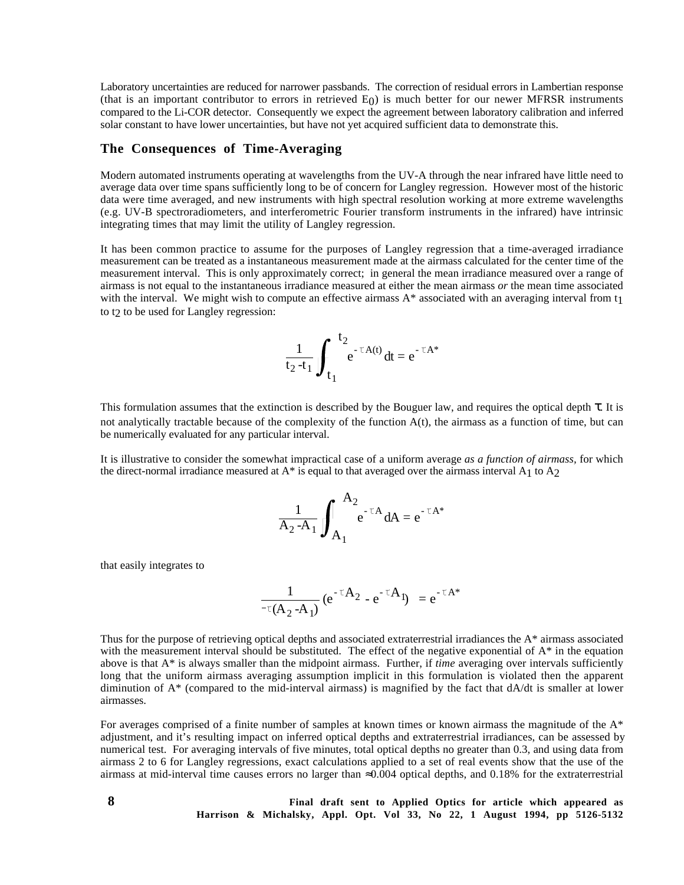Laboratory uncertainties are reduced for narrower passbands. The correction of residual errors in Lambertian response (that is an important contributor to errors in retrieved  $E_0$ ) is much better for our newer MFRSR instruments compared to the Li-COR detector. Consequently we expect the agreement between laboratory calibration and inferred solar constant to have lower uncertainties, but have not yet acquired sufficient data to demonstrate this.

# **The Consequences of Time-Averaging**

Modern automated instruments operating at wavelengths from the UV-A through the near infrared have little need to average data over time spans sufficiently long to be of concern for Langley regression. However most of the historic data were time averaged, and new instruments with high spectral resolution working at more extreme wavelengths (e.g. UV-B spectroradiometers, and interferometric Fourier transform instruments in the infrared) have intrinsic integrating times that may limit the utility of Langley regression.

It has been common practice to assume for the purposes of Langley regression that a time-averaged irradiance measurement can be treated as a instantaneous measurement made at the airmass calculated for the center time of the measurement interval. This is only approximately correct; in general the mean irradiance measured over a range of airmass is not equal to the instantaneous irradiance measured at either the mean airmass *or* the mean time associated with the interval. We might wish to compute an effective airmass  $A^*$  associated with an averaging interval from  $t_1$ to t<sub>2</sub> to be used for Langley regression:

$$
\frac{1}{t_2 - t_1} \int_{t_1}^{t_2} e^{-\tau A(t)} dt = e^{-\tau A^*}
$$

This formulation assumes that the extinction is described by the Bouguer law, and requires the optical depth τ. It is not analytically tractable because of the complexity of the function A(t), the airmass as a function of time, but can be numerically evaluated for any particular interval.

It is illustrative to consider the somewhat impractical case of a uniform average *as a function of airmass,* for which the direct-normal irradiance measured at  $A^*$  is equal to that averaged over the airmass interval  $A_1$  to  $A_2$ 

$$
\frac{1}{A_2 - A_1} \int_{A_1}^{A_2} e^{-\tau A} dA = e^{-\tau A^*}
$$

that easily integrates to

$$
\frac{1}{\tau(A_2-A_1)} (e^{-\tau A_2} - e^{-\tau A_1}) = e^{-\tau A^*}
$$

Thus for the purpose of retrieving optical depths and associated extraterrestrial irradiances the A\* airmass associated with the measurement interval should be substituted. The effect of the negative exponential of  $A^*$  in the equation above is that A\* is always smaller than the midpoint airmass. Further, if *time* averaging over intervals sufficiently long that the uniform airmass averaging assumption implicit in this formulation is violated then the apparent diminution of A\* (compared to the mid-interval airmass) is magnified by the fact that dA/dt is smaller at lower airmasses.

For averages comprised of a finite number of samples at known times or known airmass the magnitude of the  $A^*$ adjustment, and it's resulting impact on inferred optical depths and extraterrestrial irradiances, can be assessed by numerical test. For averaging intervals of five minutes, total optical depths no greater than 0.3, and using data from airmass 2 to 6 for Langley regressions, exact calculations applied to a set of real events show that the use of the airmass at mid-interval time causes errors no larger than ≈0.004 optical depths, and 0.18% for the extraterrestrial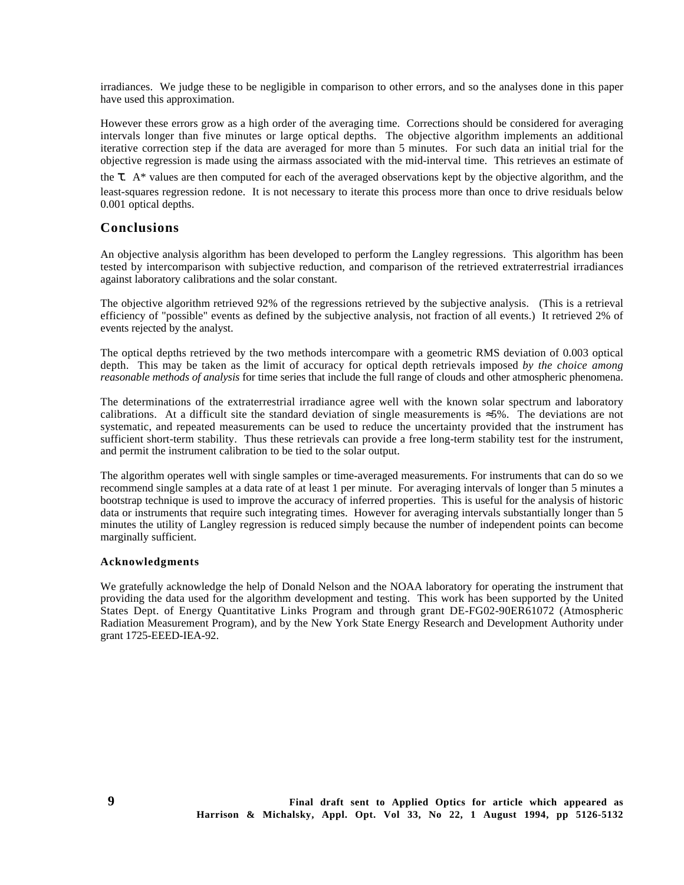irradiances. We judge these to be negligible in comparison to other errors, and so the analyses done in this paper have used this approximation.

However these errors grow as a high order of the averaging time. Corrections should be considered for averaging intervals longer than five minutes or large optical depths. The objective algorithm implements an additional iterative correction step if the data are averaged for more than 5 minutes. For such data an initial trial for the objective regression is made using the airmass associated with the mid-interval time. This retrieves an estimate of

the  $\tau$ . A\* values are then computed for each of the averaged observations kept by the objective algorithm, and the least-squares regression redone. It is not necessary to iterate this process more than once to drive residuals below 0.001 optical depths.

#### **Conclusions**

An objective analysis algorithm has been developed to perform the Langley regressions. This algorithm has been tested by intercomparison with subjective reduction, and comparison of the retrieved extraterrestrial irradiances against laboratory calibrations and the solar constant.

The objective algorithm retrieved 92% of the regressions retrieved by the subjective analysis. (This is a retrieval efficiency of "possible" events as defined by the subjective analysis, not fraction of all events.) It retrieved 2% of events rejected by the analyst.

The optical depths retrieved by the two methods intercompare with a geometric RMS deviation of 0.003 optical depth. This may be taken as the limit of accuracy for optical depth retrievals imposed *by the choice among reasonable methods of analysis* for time series that include the full range of clouds and other atmospheric phenomena.

The determinations of the extraterrestrial irradiance agree well with the known solar spectrum and laboratory calibrations. At a difficult site the standard deviation of single measurements is ≈5%. The deviations are not systematic, and repeated measurements can be used to reduce the uncertainty provided that the instrument has sufficient short-term stability. Thus these retrievals can provide a free long-term stability test for the instrument, and permit the instrument calibration to be tied to the solar output.

The algorithm operates well with single samples or time-averaged measurements. For instruments that can do so we recommend single samples at a data rate of at least 1 per minute. For averaging intervals of longer than 5 minutes a bootstrap technique is used to improve the accuracy of inferred properties. This is useful for the analysis of historic data or instruments that require such integrating times. However for averaging intervals substantially longer than 5 minutes the utility of Langley regression is reduced simply because the number of independent points can become marginally sufficient.

#### **Acknowledgments**

We gratefully acknowledge the help of Donald Nelson and the NOAA laboratory for operating the instrument that providing the data used for the algorithm development and testing. This work has been supported by the United States Dept. of Energy Quantitative Links Program and through grant DE-FG02-90ER61072 (Atmospheric Radiation Measurement Program), and by the New York State Energy Research and Development Authority under grant 1725-EEED-IEA-92.